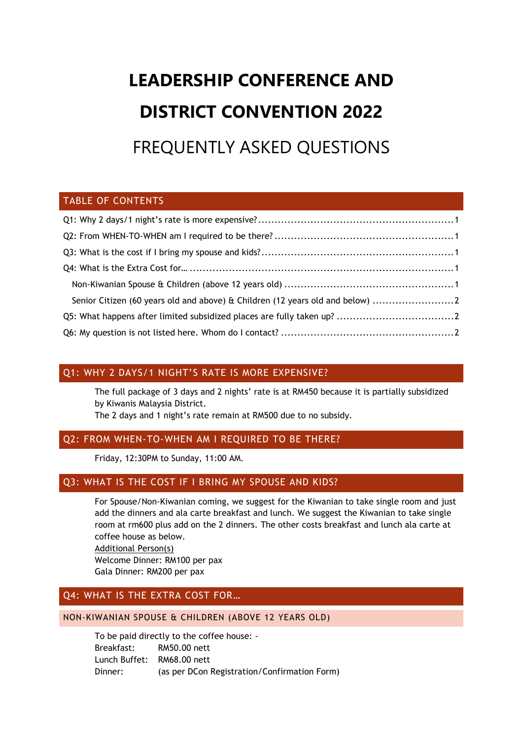# **LEADERSHIP CONFERENCE AND DISTRICT CONVENTION 2022** FREQUENTLY ASKED QUESTIONS

# TABLE OF CONTENTS

| Senior Citizen (60 years old and above) & Children (12 years old and below) |  |
|-----------------------------------------------------------------------------|--|
|                                                                             |  |
|                                                                             |  |

# <span id="page-0-0"></span>Q1: WHY 2 DAYS/1 NIGHT'S RATE IS MORE EXPENSIVE?

The full package of 3 days and 2 nights' rate is at RM450 because it is partially subsidized by Kiwanis Malaysia District.

The 2 days and 1 night's rate remain at RM500 due to no subsidy.

# <span id="page-0-1"></span>Q2: FROM WHEN-TO-WHEN AM I REQUIRED TO BE THERE?

Friday, 12:30PM to Sunday, 11:00 AM.

### <span id="page-0-2"></span>Q3: WHAT IS THE COST IF I BRING MY SPOUSE AND KIDS?

For Spouse/Non-Kiwanian coming, we suggest for the Kiwanian to take single room and just add the dinners and ala carte breakfast and lunch. We suggest the Kiwanian to take single room at rm600 plus add on the 2 dinners. The other costs breakfast and lunch ala carte at coffee house as below.

Additional Person(s) Welcome Dinner: RM100 per pax Gala Dinner: RM200 per pax

# <span id="page-0-3"></span>Q4: WHAT IS THE EXTRA COST FOR…

#### <span id="page-0-4"></span>NON-KIWANIAN SPOUSE & CHILDREN (ABOVE 12 YEARS OLD)

To be paid directly to the coffee house: - Breakfast: RM50.00 nett Lunch Buffet: RM68.00 nett Dinner: (as per DCon Registration/Confirmation Form)